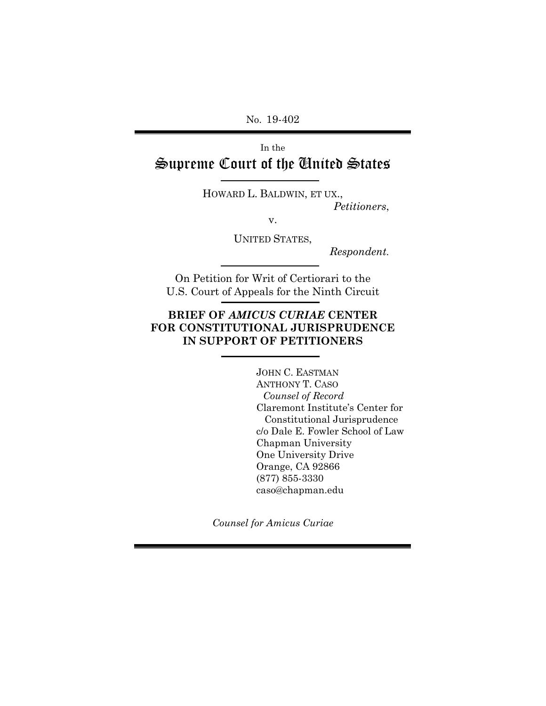No. 19-402

In the Supreme Court of the United States

> HOWARD L. BALDWIN, ET UX., *Petitioners*,

> > v.

UNITED STATES,

*Respondent.*

On Petition for Writ of Certiorari to the U.S. Court of Appeals for the Ninth Circuit

# **BRIEF OF** *AMICUS CURIAE* **CENTER FOR CONSTITUTIONAL JURISPRUDENCE IN SUPPORT OF PETITIONERS**

JOHN C. EASTMAN ANTHONY T. CASO *Counsel of Record* Claremont Institute's Center for Constitutional Jurisprudence c/o Dale E. Fowler School of Law Chapman University One University Drive Orange, CA 92866 (877) 855-3330 caso@chapman.edu

*Counsel for Amicus Curiae*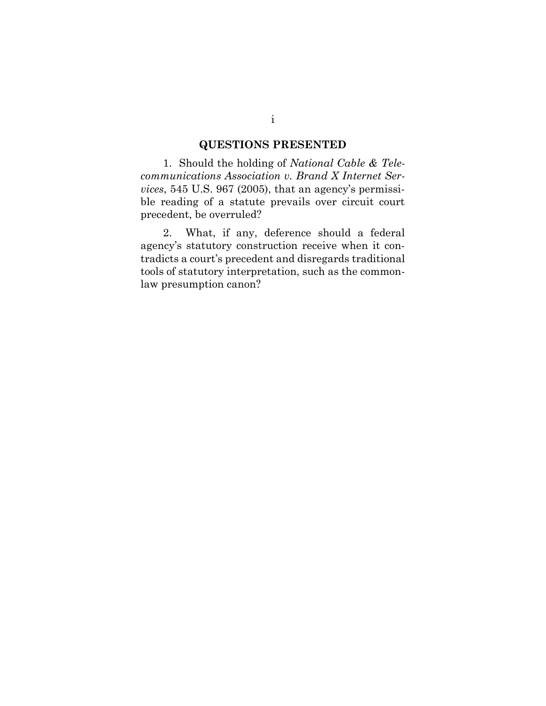# **QUESTIONS PRESENTED**

<span id="page-1-0"></span>1. Should the holding of *National Cable & Telecommunications Association v. Brand X Internet Services*, 545 U.S. 967 (2005), that an agency's permissible reading of a statute prevails over circuit court precedent, be overruled?

2. What, if any, deference should a federal agency's statutory construction receive when it contradicts a court's precedent and disregards traditional tools of statutory interpretation, such as the commonlaw presumption canon?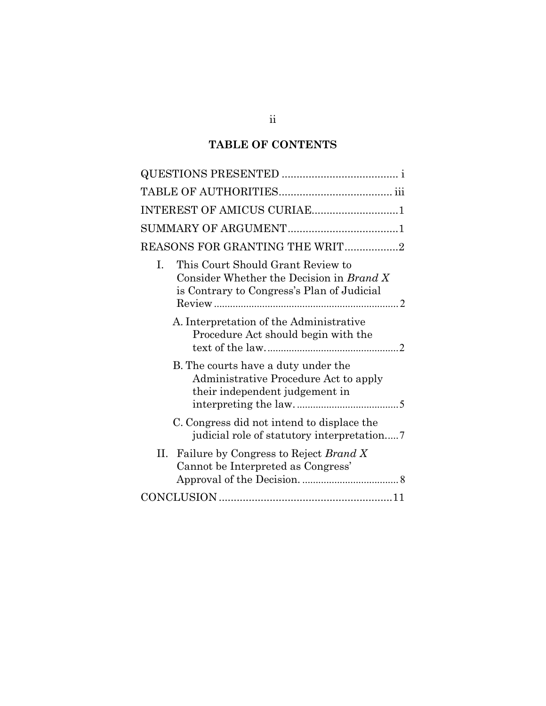# **TABLE OF CONTENTS**

| INTEREST OF AMICUS CURIAE1                                                                                                        |
|-----------------------------------------------------------------------------------------------------------------------------------|
|                                                                                                                                   |
| REASONS FOR GRANTING THE WRIT2                                                                                                    |
| This Court Should Grant Review to<br>I.<br>Consider Whether the Decision in Brand X<br>is Contrary to Congress's Plan of Judicial |
| A. Interpretation of the Administrative<br>Procedure Act should begin with the                                                    |
| B. The courts have a duty under the<br>Administrative Procedure Act to apply<br>their independent judgement in                    |
| C. Congress did not intend to displace the                                                                                        |
| Failure by Congress to Reject Brand X<br>П.<br>Cannot be Interpreted as Congress'                                                 |
|                                                                                                                                   |

ii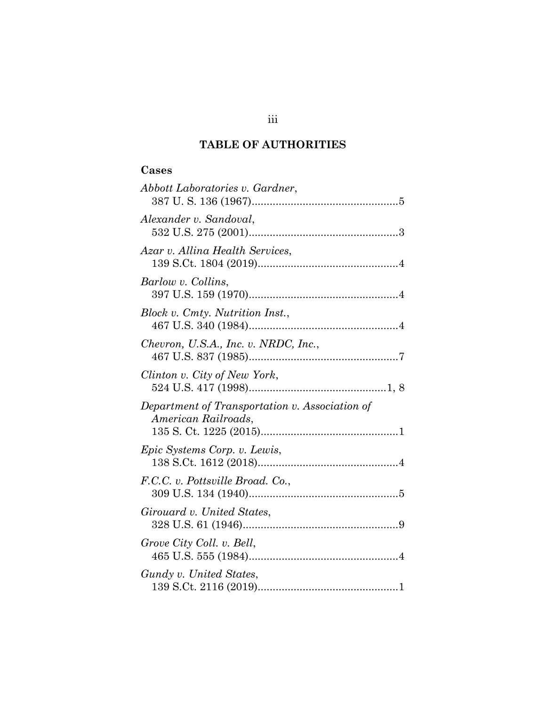# **TABLE OF AUTHORITIES**

# <span id="page-3-0"></span>**Cases**

| Abbott Laboratories v. Gardner,                                       |
|-----------------------------------------------------------------------|
| Alexander v. Sandoval,                                                |
| Azar v. Allina Health Services,                                       |
| Barlow v. Collins,                                                    |
| Block v. Cmty. Nutrition Inst.,                                       |
| Chevron, U.S.A., Inc. v. NRDC, Inc.,                                  |
| Clinton v. City of New York,                                          |
| Department of Transportation v. Association of<br>American Railroads. |
| Epic Systems Corp. v. Lewis,                                          |
| F.C.C. v. Pottsville Broad. Co.,                                      |
| Girouard v. United States,                                            |
| Grove City Coll. v. Bell,                                             |
| Gundy v. United States,                                               |

# iii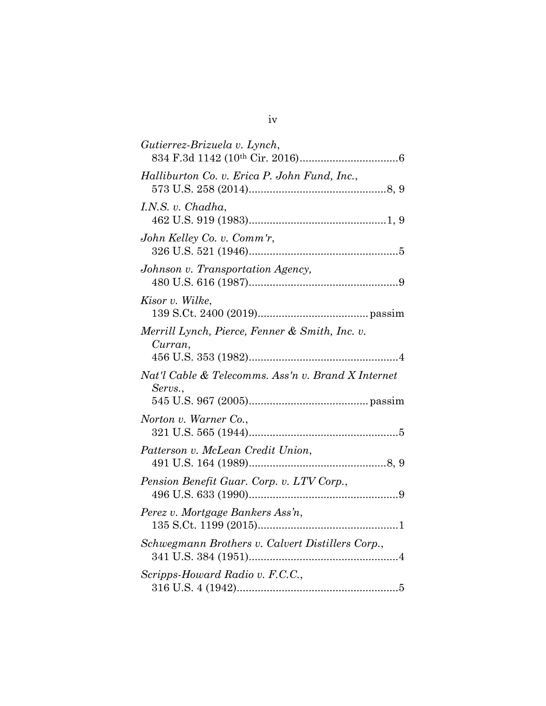| Gutierrez-Brizuela v. Lynch,                                  |
|---------------------------------------------------------------|
| Halliburton Co. v. Erica P. John Fund, Inc.,                  |
| I.N.S. v. Chadha,                                             |
| John Kelley Co. v. Comm'r,                                    |
| Johnson v. Transportation Agency,                             |
| Kisor v. Wilke,                                               |
| Merrill Lynch, Pierce, Fenner & Smith, Inc. v.<br>Curran,     |
| Nat'l Cable & Telecomms. Ass'n v. Brand X Internet<br>Servs., |
| Norton v. Warner Co.,                                         |
| Patterson v. McLean Credit Union,                             |
| Pension Benefit Guar. Corp. v. LTV Corp.,                     |
| Perez v. Mortgage Bankers Ass'n,                              |
| Schwegmann Brothers v. Calvert Distillers Corp.,              |
| Scripps-Howard Radio v. F.C.C.,                               |

iv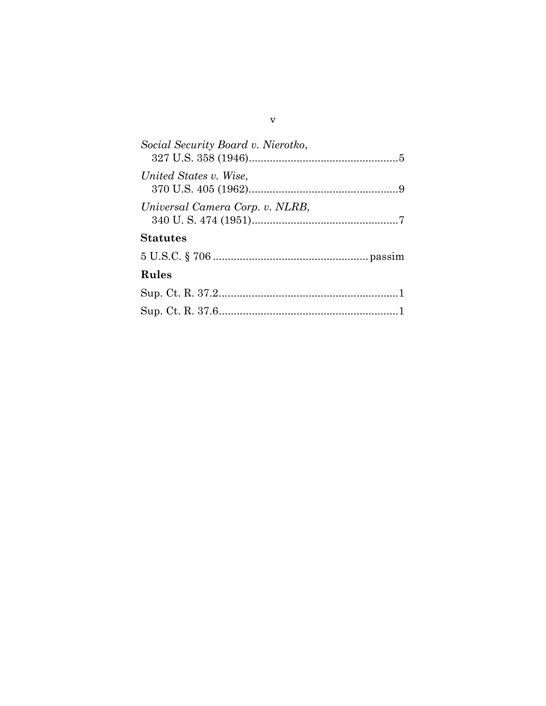| Social Security Board v. Nierotko, |  |
|------------------------------------|--|
| United States v. Wise.             |  |
| Universal Camera Corp. v. NLRB,    |  |
| <b>Statutes</b>                    |  |
|                                    |  |
| <b>Rules</b>                       |  |
|                                    |  |
|                                    |  |

# v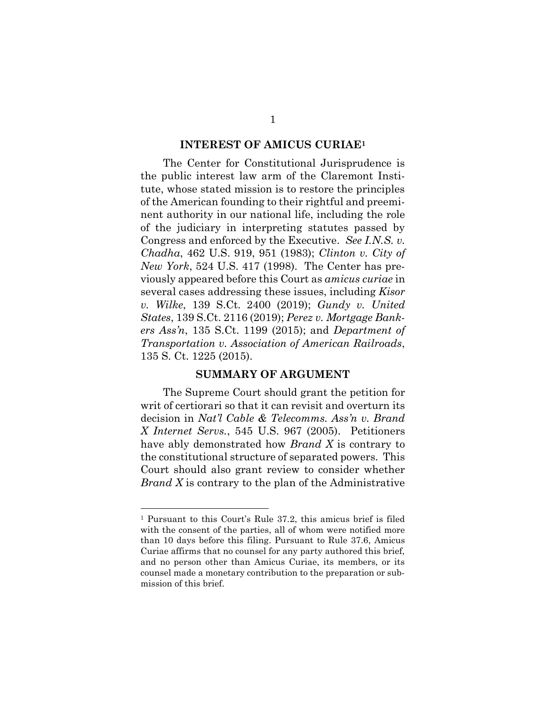#### **INTEREST OF AMICUS CURIAE<sup>1</sup>**

<span id="page-6-0"></span>The Center for Constitutional Jurisprudence is the public interest law arm of the Claremont Institute, whose stated mission is to restore the principles of the American founding to their rightful and preeminent authority in our national life, including the role of the judiciary in interpreting statutes passed by Congress and enforced by the Executive. *See I.N.S. v. Chadha*, 462 U.S. 919, 951 (1983); *Clinton v. City of New York*, 524 U.S. 417 (1998). The Center has previously appeared before this Court as *amicus curiae* in several cases addressing these issues, including *Kisor v. Wilke*, 139 S.Ct. 2400 (2019); *Gundy v. United States*, 139 S.Ct. 2116 (2019); *Perez v. Mortgage Bankers Ass'n*, 135 S.Ct. 1199 (2015); and *Department of Transportation v. Association of American Railroads*, 135 S. Ct. 1225 (2015).

#### **SUMMARY OF ARGUMENT**

<span id="page-6-1"></span>The Supreme Court should grant the petition for writ of certiorari so that it can revisit and overturn its decision in *Nat'l Cable & Telecomms. Ass'n v. Brand X Internet Servs.*, 545 U.S. 967 (2005). Petitioners have ably demonstrated how *Brand X* is contrary to the constitutional structure of separated powers. This Court should also grant review to consider whether *Brand X* is contrary to the plan of the Administrative

<sup>1</sup> Pursuant to this Court's Rule 37.2, this amicus brief is filed with the consent of the parties, all of whom were notified more than 10 days before this filing. Pursuant to Rule 37.6, Amicus Curiae affirms that no counsel for any party authored this brief, and no person other than Amicus Curiae, its members, or its counsel made a monetary contribution to the preparation or submission of this brief.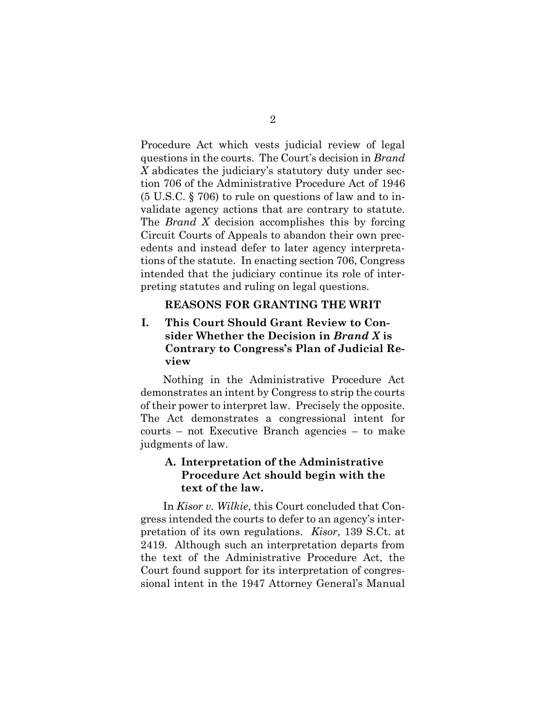Procedure Act which vests judicial review of legal questions in the courts. The Court's decision in *Brand X* abdicates the judiciary's statutory duty under section 706 of the Administrative Procedure Act of 1946 (5 U.S.C. § 706) to rule on questions of law and to invalidate agency actions that are contrary to statute. The *Brand X* decision accomplishes this by forcing Circuit Courts of Appeals to abandon their own precedents and instead defer to later agency interpretations of the statute. In enacting section 706, Congress intended that the judiciary continue its role of interpreting statutes and ruling on legal questions.

### **REASONS FOR GRANTING THE WRIT**

## <span id="page-7-1"></span><span id="page-7-0"></span>**I. This Court Should Grant Review to Consider Whether the Decision in** *Brand X* **is Contrary to Congress's Plan of Judicial Review**

Nothing in the Administrative Procedure Act demonstrates an intent by Congress to strip the courts of their power to interpret law. Precisely the opposite. The Act demonstrates a congressional intent for courts – not Executive Branch agencies – to make judgments of law.

### <span id="page-7-2"></span>**A. Interpretation of the Administrative Procedure Act should begin with the text of the law.**

In *Kisor v. Wilkie*, this Court concluded that Congress intended the courts to defer to an agency's interpretation of its own regulations. *Kisor*, 139 S.Ct. at 2419. Although such an interpretation departs from the text of the Administrative Procedure Act, the Court found support for its interpretation of congressional intent in the 1947 Attorney General's Manual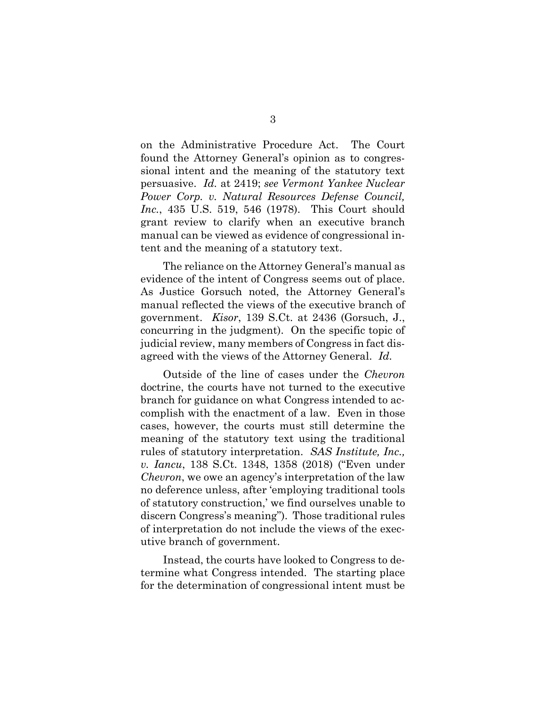on the Administrative Procedure Act. The Court found the Attorney General's opinion as to congressional intent and the meaning of the statutory text persuasive. *Id.* at 2419; *see Vermont Yankee Nuclear Power Corp. v. Natural Resources Defense Council, Inc.*, 435 U.S. 519, 546 (1978). This Court should grant review to clarify when an executive branch manual can be viewed as evidence of congressional intent and the meaning of a statutory text.

The reliance on the Attorney General's manual as evidence of the intent of Congress seems out of place. As Justice Gorsuch noted, the Attorney General's manual reflected the views of the executive branch of government. *Kisor*, 139 S.Ct. at 2436 (Gorsuch, J., concurring in the judgment). On the specific topic of judicial review, many members of Congress in fact disagreed with the views of the Attorney General. *Id*.

Outside of the line of cases under the *Chevron* doctrine, the courts have not turned to the executive branch for guidance on what Congress intended to accomplish with the enactment of a law. Even in those cases, however, the courts must still determine the meaning of the statutory text using the traditional rules of statutory interpretation. *SAS Institute, Inc., v. Iancu*, 138 S.Ct. 1348, 1358 (2018) ("Even under *Chevron*, we owe an agency's interpretation of the law no deference unless, after 'employing traditional tools of statutory construction,' we find ourselves unable to discern Congress's meaning"). Those traditional rules of interpretation do not include the views of the executive branch of government.

Instead, the courts have looked to Congress to determine what Congress intended. The starting place for the determination of congressional intent must be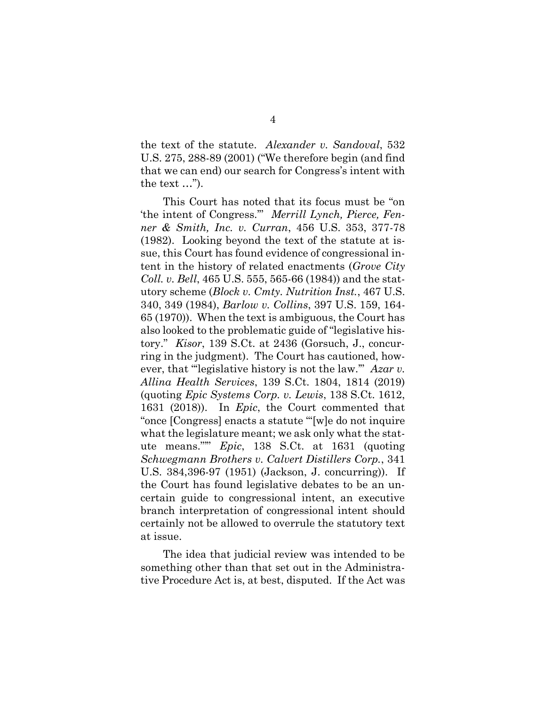the text of the statute. *Alexander v. Sandoval*, 532 U.S. 275, 288-89 (2001) ("We therefore begin (and find that we can end) our search for Congress's intent with the text …").

This Court has noted that its focus must be "on 'the intent of Congress.'" *Merrill Lynch, Pierce, Fenner & Smith, Inc. v. Curran*, 456 U.S. 353, 377-78 (1982). Looking beyond the text of the statute at issue, this Court has found evidence of congressional intent in the history of related enactments (*Grove City Coll. v. Bell*, 465 U.S. 555, 565-66 (1984)) and the statutory scheme (*Block v. Cmty. Nutrition Inst.*, 467 U.S. 340, 349 (1984), *Barlow v. Collins*, 397 U.S. 159, 164- 65 (1970)). When the text is ambiguous, the Court has also looked to the problematic guide of "legislative history." *Kisor*, 139 S.Ct. at 2436 (Gorsuch, J., concurring in the judgment). The Court has cautioned, however, that "legislative history is not the law." *Azar v. Allina Health Services*, 139 S.Ct. 1804, 1814 (2019) (quoting *Epic Systems Corp. v. Lewis*, 138 S.Ct. 1612, 1631 (2018)). In *Epic*, the Court commented that "once [Congress] enacts a statute '"[w]e do not inquire what the legislature meant; we ask only what the statute means."'" *Epic*, 138 S.Ct. at 1631 (quoting *Schwegmann Brothers v. Calvert Distillers Corp.*, 341 U.S. 384,396-97 (1951) (Jackson, J. concurring)). If the Court has found legislative debates to be an uncertain guide to congressional intent, an executive branch interpretation of congressional intent should certainly not be allowed to overrule the statutory text at issue.

The idea that judicial review was intended to be something other than that set out in the Administrative Procedure Act is, at best, disputed. If the Act was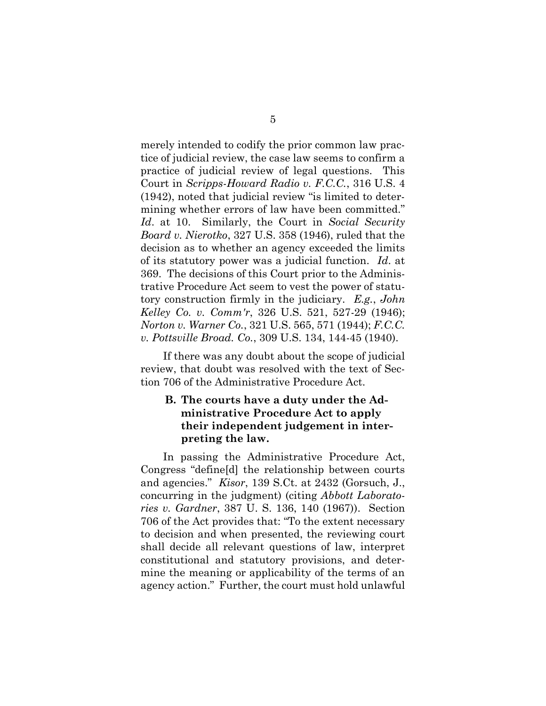merely intended to codify the prior common law practice of judicial review, the case law seems to confirm a practice of judicial review of legal questions. This Court in *Scripps-Howard Radio v. F.C.C.*, 316 U.S. 4 (1942), noted that judicial review "is limited to determining whether errors of law have been committed." *Id*. at 10. Similarly, the Court in *Social Security Board v. Nierotko*, 327 U.S. 358 (1946), ruled that the decision as to whether an agency exceeded the limits of its statutory power was a judicial function. *Id*. at 369. The decisions of this Court prior to the Administrative Procedure Act seem to vest the power of statutory construction firmly in the judiciary. *E.g.*, *John Kelley Co. v. Comm'r*, 326 U.S. 521, 527-29 (1946); *Norton v. Warner Co.*, 321 U.S. 565, 571 (1944); *F.C.C. v. Pottsville Broad. Co.*, 309 U.S. 134, 144-45 (1940).

If there was any doubt about the scope of judicial review, that doubt was resolved with the text of Section 706 of the Administrative Procedure Act.

### <span id="page-10-0"></span>**B. The courts have a duty under the Administrative Procedure Act to apply their independent judgement in interpreting the law.**

In passing the Administrative Procedure Act, Congress "define[d] the relationship between courts and agencies." *Kisor*, 139 S.Ct. at 2432 (Gorsuch, J., concurring in the judgment) (citing *Abbott Laboratories v. Gardner*, 387 U. S. 136, 140 (1967)). Section 706 of the Act provides that: "To the extent necessary to decision and when presented, the reviewing court shall decide all relevant questions of law, interpret constitutional and statutory provisions, and determine the meaning or applicability of the terms of an agency action." Further, the court must hold unlawful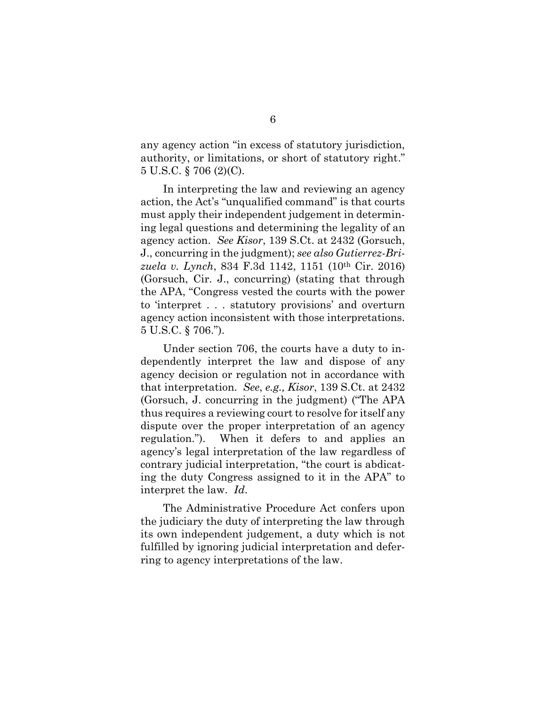any agency action "in excess of statutory jurisdiction, authority, or limitations, or short of statutory right." 5 U.S.C. § 706 (2)(C).

In interpreting the law and reviewing an agency action, the Act's "unqualified command" is that courts must apply their independent judgement in determining legal questions and determining the legality of an agency action. *See Kisor*, 139 S.Ct. at 2432 (Gorsuch, J., concurring in the judgment); *see also Gutierrez-Brizuela v. Lynch*, 834 F.3d 1142, 1151 (10th Cir. 2016) (Gorsuch, Cir. J., concurring) (stating that through the APA, "Congress vested the courts with the power to 'interpret . . . statutory provisions' and overturn agency action inconsistent with those interpretations. 5 U.S.C. § 706.").

Under section 706, the courts have a duty to independently interpret the law and dispose of any agency decision or regulation not in accordance with that interpretation. *See*, *e.g., Kisor*, 139 S.Ct. at 2432 (Gorsuch, J. concurring in the judgment) ("The APA thus requires a reviewing court to resolve for itself any dispute over the proper interpretation of an agency regulation."). When it defers to and applies an agency's legal interpretation of the law regardless of contrary judicial interpretation, "the court is abdicating the duty Congress assigned to it in the APA" to interpret the law. *Id*.

The Administrative Procedure Act confers upon the judiciary the duty of interpreting the law through its own independent judgement, a duty which is not fulfilled by ignoring judicial interpretation and deferring to agency interpretations of the law.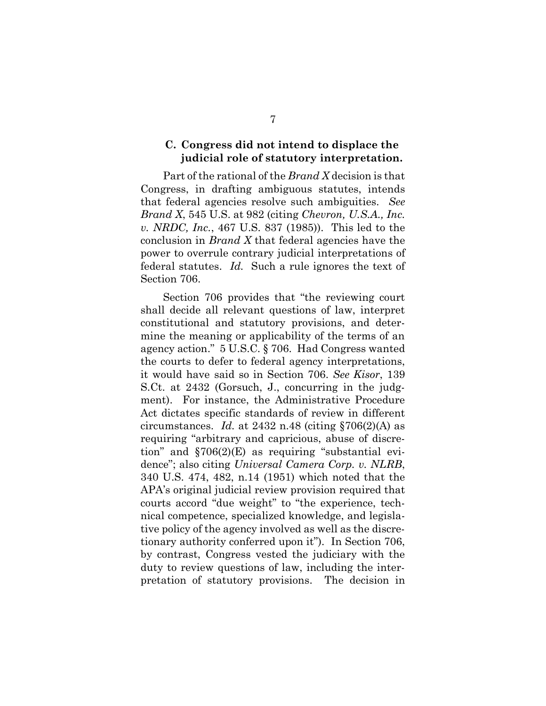### <span id="page-12-0"></span>**C. Congress did not intend to displace the judicial role of statutory interpretation.**

Part of the rational of the *Brand X* decision is that Congress, in drafting ambiguous statutes, intends that federal agencies resolve such ambiguities. *See Brand X*, 545 U.S. at 982 (citing *Chevron, U.S.A., Inc. v. NRDC, Inc.*, 467 U.S. 837 (1985)). This led to the conclusion in *Brand X* that federal agencies have the power to overrule contrary judicial interpretations of federal statutes. *Id.* Such a rule ignores the text of Section 706.

Section 706 provides that "the reviewing court shall decide all relevant questions of law, interpret constitutional and statutory provisions, and determine the meaning or applicability of the terms of an agency action." 5 U.S.C. § 706. Had Congress wanted the courts to defer to federal agency interpretations, it would have said so in Section 706. *See Kisor*, 139 S.Ct. at 2432 (Gorsuch, J., concurring in the judgment). For instance, the Administrative Procedure Act dictates specific standards of review in different circumstances. *Id.* at 2432 n.48 (citing  $\S706(2)$ (A) as requiring "arbitrary and capricious, abuse of discretion" and  $$706(2)(E)$  as requiring "substantial evidence"; also citing *Universal Camera Corp. v. NLRB*, 340 U.S. 474, 482, n.14 (1951) which noted that the APA's original judicial review provision required that courts accord "due weight" to "the experience, technical competence, specialized knowledge, and legislative policy of the agency involved as well as the discretionary authority conferred upon it"). In Section 706, by contrast, Congress vested the judiciary with the duty to review questions of law, including the interpretation of statutory provisions. The decision in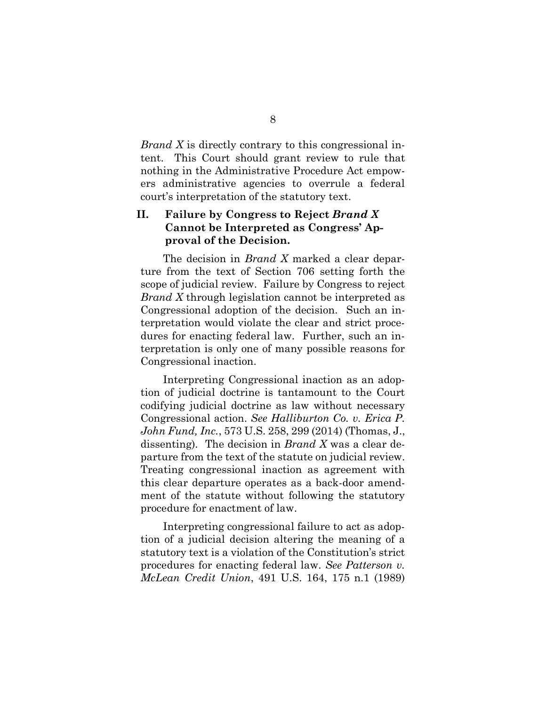*Brand X* is directly contrary to this congressional intent. This Court should grant review to rule that nothing in the Administrative Procedure Act empowers administrative agencies to overrule a federal court's interpretation of the statutory text.

### <span id="page-13-0"></span>**II. Failure by Congress to Reject** *Brand X* **Cannot be Interpreted as Congress' Approval of the Decision.**

The decision in *Brand X* marked a clear departure from the text of Section 706 setting forth the scope of judicial review. Failure by Congress to reject *Brand X* through legislation cannot be interpreted as Congressional adoption of the decision. Such an interpretation would violate the clear and strict procedures for enacting federal law. Further, such an interpretation is only one of many possible reasons for Congressional inaction.

Interpreting Congressional inaction as an adoption of judicial doctrine is tantamount to the Court codifying judicial doctrine as law without necessary Congressional action. *See Halliburton Co. v. Erica P. John Fund, Inc.*, 573 U.S. 258, 299 (2014) (Thomas, J., dissenting)*.* The decision in *Brand X* was a clear departure from the text of the statute on judicial review. Treating congressional inaction as agreement with this clear departure operates as a back-door amendment of the statute without following the statutory procedure for enactment of law.

Interpreting congressional failure to act as adoption of a judicial decision altering the meaning of a statutory text is a violation of the Constitution's strict procedures for enacting federal law. *See Patterson v. McLean Credit Union*, 491 U.S. 164, 175 n.1 (1989)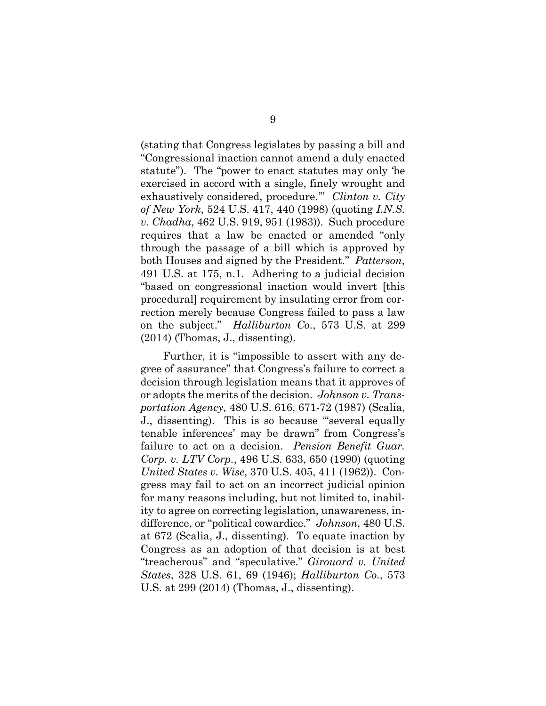(stating that Congress legislates by passing a bill and "Congressional inaction cannot amend a duly enacted statute"). The "power to enact statutes may only 'be exercised in accord with a single, finely wrought and exhaustively considered, procedure.'" *Clinton v. City of New York*, 524 U.S. 417, 440 (1998) (quoting *I.N.S. v. Chadha*, 462 U.S. 919, 951 (1983)). Such procedure requires that a law be enacted or amended "only through the passage of a bill which is approved by both Houses and signed by the President." *Patterson*, 491 U.S. at 175, n.1. Adhering to a judicial decision "based on congressional inaction would invert [this procedural] requirement by insulating error from correction merely because Congress failed to pass a law on the subject." *Halliburton Co.*, 573 U.S. at 299 (2014) (Thomas, J., dissenting).

Further, it is "impossible to assert with any degree of assurance" that Congress's failure to correct a decision through legislation means that it approves of or adopts the merits of the decision. *Johnson v. Transportation Agency,* 480 U.S. 616, 671-72 (1987) (Scalia, J., dissenting).This is so because "'several equally tenable inferences' may be drawn" from Congress's failure to act on a decision. *Pension Benefit Guar. Corp. v. LTV Corp.*, 496 U.S. 633, 650 (1990) (quoting *United States v. Wise*, 370 U.S. 405, 411 (1962)). Congress may fail to act on an incorrect judicial opinion for many reasons including, but not limited to, inability to agree on correcting legislation, unawareness, indifference, or "political cowardice." *Johnson*, 480 U.S. at 672 (Scalia, J., dissenting). To equate inaction by Congress as an adoption of that decision is at best "treacherous" and "speculative." *Girouard v. United States*, 328 U.S. 61, 69 (1946); *Halliburton Co.*, 573 U.S. at 299 (2014) (Thomas, J., dissenting).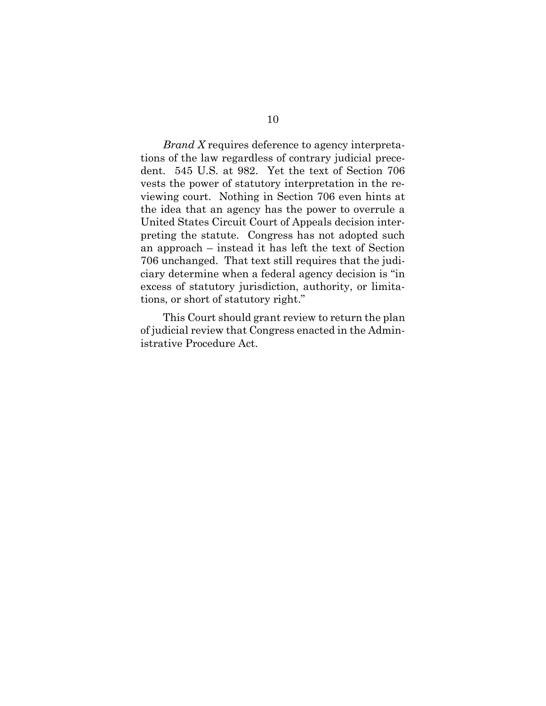*Brand X* requires deference to agency interpretations of the law regardless of contrary judicial precedent. 545 U.S. at 982. Yet the text of Section 706 vests the power of statutory interpretation in the reviewing court. Nothing in Section 706 even hints at the idea that an agency has the power to overrule a United States Circuit Court of Appeals decision interpreting the statute. Congress has not adopted such an approach – instead it has left the text of Section 706 unchanged. That text still requires that the judiciary determine when a federal agency decision is "in excess of statutory jurisdiction, authority, or limitations, or short of statutory right."

This Court should grant review to return the plan of judicial review that Congress enacted in the Administrative Procedure Act.